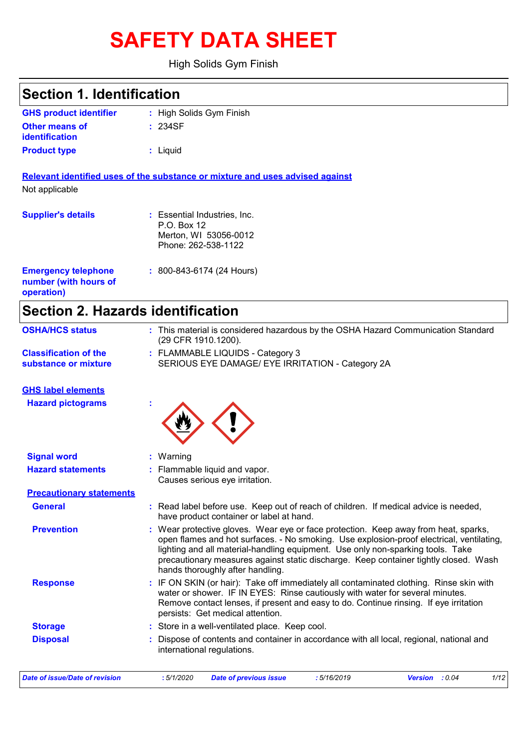# **SAFETY DATA SHEET**

High Solids Gym Finish

| <b>Section 1. Identification</b>                                  |                                                                                                                                                                                                                                                                                                                                                                                                |
|-------------------------------------------------------------------|------------------------------------------------------------------------------------------------------------------------------------------------------------------------------------------------------------------------------------------------------------------------------------------------------------------------------------------------------------------------------------------------|
| <b>GHS product identifier</b>                                     | : High Solids Gym Finish                                                                                                                                                                                                                                                                                                                                                                       |
| <b>Other means of</b><br><b>identification</b>                    | : 234SF                                                                                                                                                                                                                                                                                                                                                                                        |
| <b>Product type</b>                                               | : Liquid                                                                                                                                                                                                                                                                                                                                                                                       |
| Not applicable                                                    | Relevant identified uses of the substance or mixture and uses advised against                                                                                                                                                                                                                                                                                                                  |
|                                                                   |                                                                                                                                                                                                                                                                                                                                                                                                |
| <b>Supplier's details</b>                                         | : Essential Industries, Inc.<br>P.O. Box 12<br>Merton, WI 53056-0012<br>Phone: 262-538-1122                                                                                                                                                                                                                                                                                                    |
| <b>Emergency telephone</b><br>number (with hours of<br>operation) | $: 800 - 843 - 6174 (24$ Hours)                                                                                                                                                                                                                                                                                                                                                                |
| <b>Section 2. Hazards identification</b>                          |                                                                                                                                                                                                                                                                                                                                                                                                |
| <b>OSHA/HCS status</b>                                            | : This material is considered hazardous by the OSHA Hazard Communication Standard<br>(29 CFR 1910.1200).                                                                                                                                                                                                                                                                                       |
| <b>Classification of the</b><br>substance or mixture              | : FLAMMABLE LIQUIDS - Category 3<br>SERIOUS EYE DAMAGE/ EYE IRRITATION - Category 2A                                                                                                                                                                                                                                                                                                           |
| <b>GHS label elements</b>                                         |                                                                                                                                                                                                                                                                                                                                                                                                |
| <b>Hazard pictograms</b>                                          |                                                                                                                                                                                                                                                                                                                                                                                                |
| <b>Signal word</b>                                                | Warning                                                                                                                                                                                                                                                                                                                                                                                        |
| <b>Hazard statements</b>                                          | Flammable liquid and vapor.<br>Causes serious eye irritation.                                                                                                                                                                                                                                                                                                                                  |
| <b>Precautionary statements</b>                                   |                                                                                                                                                                                                                                                                                                                                                                                                |
| <b>General</b>                                                    | : Read label before use. Keep out of reach of children. If medical advice is needed,<br>have product container or label at hand.                                                                                                                                                                                                                                                               |
| <b>Prevention</b>                                                 | : Wear protective gloves. Wear eye or face protection. Keep away from heat, sparks,<br>open flames and hot surfaces. - No smoking. Use explosion-proof electrical, ventilating,<br>lighting and all material-handling equipment. Use only non-sparking tools. Take<br>precautionary measures against static discharge. Keep container tightly closed. Wash<br>hands thoroughly after handling. |
| <b>Response</b>                                                   | : IF ON SKIN (or hair): Take off immediately all contaminated clothing. Rinse skin with<br>water or shower. IF IN EYES: Rinse cautiously with water for several minutes.<br>Remove contact lenses, if present and easy to do. Continue rinsing. If eye irritation<br>persists: Get medical attention.                                                                                          |
| <b>Storage</b>                                                    | : Store in a well-ventilated place. Keep cool.                                                                                                                                                                                                                                                                                                                                                 |
| <b>Disposal</b>                                                   | Dispose of contents and container in accordance with all local, regional, national and<br>international regulations.                                                                                                                                                                                                                                                                           |

*Date of issue/Date of revision* **:** *5/1/2020 Date of previous issue : 5/16/2019 Version : 0.04 1/12*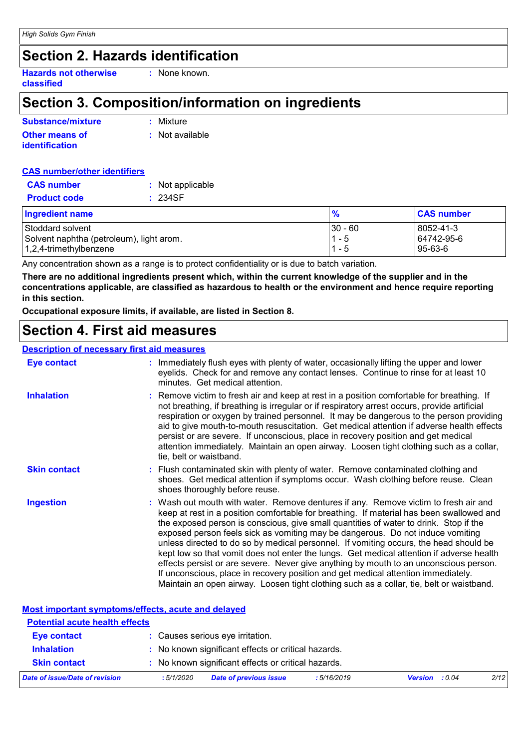# **Section 2. Hazards identification**

**Hazards not otherwise classified**

### **Section 3. Composition/information on ingredients**

**:** None known.

| Substance/mixture     | : Mixture       |
|-----------------------|-----------------|
| <b>Other means of</b> | : Not available |
| <b>identification</b> |                 |

#### **CAS number/other identifiers**

| <b>CAS</b> number   | : Not applicable |
|---------------------|------------------|
| <b>Product code</b> | : 234SF          |

| <b>Ingredient name</b>                   | $\frac{9}{6}$ | <b>CAS number</b> |
|------------------------------------------|---------------|-------------------|
| Stoddard solvent                         | $30 - 60$     | 8052-41-3         |
| Solvent naphtha (petroleum), light arom. | $1 - 5$       | 64742-95-6        |
| 1,2,4-trimethylbenzene                   | $1 - 5$       | 95-63-6           |

Any concentration shown as a range is to protect confidentiality or is due to batch variation.

**There are no additional ingredients present which, within the current knowledge of the supplier and in the concentrations applicable, are classified as hazardous to health or the environment and hence require reporting in this section.**

**Occupational exposure limits, if available, are listed in Section 8.**

### **Section 4. First aid measures**

#### **Description of necessary first aid measures**

| <b>Eye contact</b>  | : Immediately flush eyes with plenty of water, occasionally lifting the upper and lower<br>eyelids. Check for and remove any contact lenses. Continue to rinse for at least 10<br>minutes. Get medical attention.                                                                                                                                                                                                                                                                                                                                                                                                                                                                                                                                                                                                         |
|---------------------|---------------------------------------------------------------------------------------------------------------------------------------------------------------------------------------------------------------------------------------------------------------------------------------------------------------------------------------------------------------------------------------------------------------------------------------------------------------------------------------------------------------------------------------------------------------------------------------------------------------------------------------------------------------------------------------------------------------------------------------------------------------------------------------------------------------------------|
| <b>Inhalation</b>   | : Remove victim to fresh air and keep at rest in a position comfortable for breathing. If<br>not breathing, if breathing is irregular or if respiratory arrest occurs, provide artificial<br>respiration or oxygen by trained personnel. It may be dangerous to the person providing<br>aid to give mouth-to-mouth resuscitation. Get medical attention if adverse health effects<br>persist or are severe. If unconscious, place in recovery position and get medical<br>attention immediately. Maintain an open airway. Loosen tight clothing such as a collar,<br>tie, belt or waistband.                                                                                                                                                                                                                              |
| <b>Skin contact</b> | : Flush contaminated skin with plenty of water. Remove contaminated clothing and<br>shoes. Get medical attention if symptoms occur. Wash clothing before reuse. Clean<br>shoes thoroughly before reuse.                                                                                                                                                                                                                                                                                                                                                                                                                                                                                                                                                                                                                   |
| <b>Ingestion</b>    | : Wash out mouth with water. Remove dentures if any. Remove victim to fresh air and<br>keep at rest in a position comfortable for breathing. If material has been swallowed and<br>the exposed person is conscious, give small quantities of water to drink. Stop if the<br>exposed person feels sick as vomiting may be dangerous. Do not induce vomiting<br>unless directed to do so by medical personnel. If vomiting occurs, the head should be<br>kept low so that vomit does not enter the lungs. Get medical attention if adverse health<br>effects persist or are severe. Never give anything by mouth to an unconscious person.<br>If unconscious, place in recovery position and get medical attention immediately.<br>Maintain an open airway. Loosen tight clothing such as a collar, tie, belt or waistband. |

|                                                                            | <b>Most important symptoms/effects, acute and delayed</b> |                       |      |  |
|----------------------------------------------------------------------------|-----------------------------------------------------------|-----------------------|------|--|
| <b>Potential acute health effects</b>                                      |                                                           |                       |      |  |
| <b>Eye contact</b>                                                         | : Causes serious eye irritation.                          |                       |      |  |
| <b>Inhalation</b>                                                          | : No known significant effects or critical hazards.       |                       |      |  |
| : No known significant effects or critical hazards.<br><b>Skin contact</b> |                                                           |                       |      |  |
| Date of issue/Date of revision                                             | <b>Date of previous issue</b><br>:5/16/2019<br>:5/1/2020  | <b>Version</b> : 0.04 | 2/12 |  |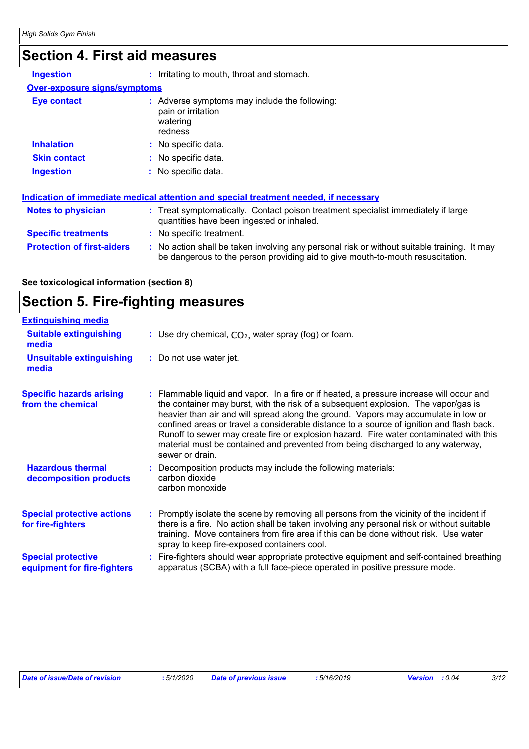# **Section 4. First aid measures**

| <b>Ingestion</b>                    | : Irritating to mouth, throat and stomach.                                                                                     |
|-------------------------------------|--------------------------------------------------------------------------------------------------------------------------------|
| <b>Over-exposure signs/symptoms</b> |                                                                                                                                |
| <b>Eye contact</b>                  | : Adverse symptoms may include the following:<br>pain or irritation<br>watering<br>redness                                     |
| <b>Inhalation</b>                   | : No specific data.                                                                                                            |
| <b>Skin contact</b>                 | : No specific data.                                                                                                            |
| <b>Ingestion</b>                    | : No specific data.                                                                                                            |
|                                     | <u>Indication of immediate medical attention and special treatment needed, if necessary</u>                                    |
| <b>Notes to physician</b>           | : Treat symptomatically. Contact poison treatment specialist immediately if large<br>quantities have been ingested or inhaled. |
| <b>Specific treatments</b>          | : No specific treatment.                                                                                                       |
| <b>Protection of first-aiders</b>   | : No action shall be taken involving any personal risk or without suitable training. It may                                    |

be dangerous to the person providing aid to give mouth-to-mouth resuscitation.

#### **See toxicological information (section 8)**

# **Section 5. Fire-fighting measures**

| <b>Extinguishing media</b>                               |                                                                                                                                                                                                                                                                                                                                                                                                                                                                                                                                                                |
|----------------------------------------------------------|----------------------------------------------------------------------------------------------------------------------------------------------------------------------------------------------------------------------------------------------------------------------------------------------------------------------------------------------------------------------------------------------------------------------------------------------------------------------------------------------------------------------------------------------------------------|
| <b>Suitable extinguishing</b><br>media                   | : Use dry chemical, $CO2$ , water spray (fog) or foam.                                                                                                                                                                                                                                                                                                                                                                                                                                                                                                         |
| <b>Unsuitable extinguishing</b><br>media                 | : Do not use water jet.                                                                                                                                                                                                                                                                                                                                                                                                                                                                                                                                        |
| <b>Specific hazards arising</b><br>from the chemical     | Flammable liquid and vapor. In a fire or if heated, a pressure increase will occur and<br>the container may burst, with the risk of a subsequent explosion. The vapor/gas is<br>heavier than air and will spread along the ground. Vapors may accumulate in low or<br>confined areas or travel a considerable distance to a source of ignition and flash back.<br>Runoff to sewer may create fire or explosion hazard. Fire water contaminated with this<br>material must be contained and prevented from being discharged to any waterway,<br>sewer or drain. |
| <b>Hazardous thermal</b><br>decomposition products       | Decomposition products may include the following materials:<br>carbon dioxide<br>carbon monoxide                                                                                                                                                                                                                                                                                                                                                                                                                                                               |
| <b>Special protective actions</b><br>for fire-fighters   | : Promptly isolate the scene by removing all persons from the vicinity of the incident if<br>there is a fire. No action shall be taken involving any personal risk or without suitable<br>training. Move containers from fire area if this can be done without risk. Use water<br>spray to keep fire-exposed containers cool.                                                                                                                                                                                                                                  |
| <b>Special protective</b><br>equipment for fire-fighters | Fire-fighters should wear appropriate protective equipment and self-contained breathing<br>apparatus (SCBA) with a full face-piece operated in positive pressure mode.                                                                                                                                                                                                                                                                                                                                                                                         |

| Date of issue/Date of revision | : 5/1/2020 | <b>Date of previous issue</b> | : 5/16/2019 | <b>Version</b> : 0.04 | 3/12 |
|--------------------------------|------------|-------------------------------|-------------|-----------------------|------|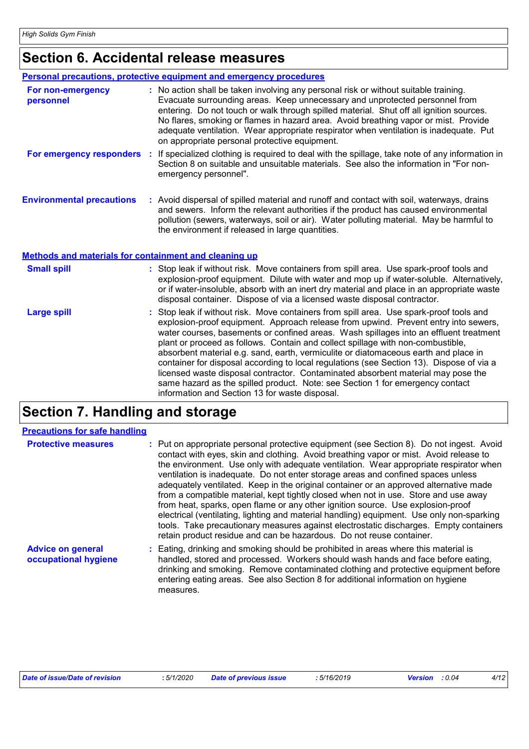# **Section 6. Accidental release measures**

|                                                       | <b>Personal precautions, protective equipment and emergency procedures</b>                                                                                                                                                                                                                                                                                                                                                                                                                                                                                                                                                                                                                                                                                           |
|-------------------------------------------------------|----------------------------------------------------------------------------------------------------------------------------------------------------------------------------------------------------------------------------------------------------------------------------------------------------------------------------------------------------------------------------------------------------------------------------------------------------------------------------------------------------------------------------------------------------------------------------------------------------------------------------------------------------------------------------------------------------------------------------------------------------------------------|
| For non-emergency<br>personnel                        | : No action shall be taken involving any personal risk or without suitable training.<br>Evacuate surrounding areas. Keep unnecessary and unprotected personnel from<br>entering. Do not touch or walk through spilled material. Shut off all ignition sources.<br>No flares, smoking or flames in hazard area. Avoid breathing vapor or mist. Provide<br>adequate ventilation. Wear appropriate respirator when ventilation is inadequate. Put<br>on appropriate personal protective equipment.                                                                                                                                                                                                                                                                      |
|                                                       | For emergency responders : If specialized clothing is required to deal with the spillage, take note of any information in<br>Section 8 on suitable and unsuitable materials. See also the information in "For non-<br>emergency personnel".                                                                                                                                                                                                                                                                                                                                                                                                                                                                                                                          |
| <b>Environmental precautions</b>                      | : Avoid dispersal of spilled material and runoff and contact with soil, waterways, drains<br>and sewers. Inform the relevant authorities if the product has caused environmental<br>pollution (sewers, waterways, soil or air). Water polluting material. May be harmful to<br>the environment if released in large quantities.                                                                                                                                                                                                                                                                                                                                                                                                                                      |
| Methods and materials for containment and cleaning up |                                                                                                                                                                                                                                                                                                                                                                                                                                                                                                                                                                                                                                                                                                                                                                      |
| <b>Small spill</b>                                    | : Stop leak if without risk. Move containers from spill area. Use spark-proof tools and<br>explosion-proof equipment. Dilute with water and mop up if water-soluble. Alternatively,<br>or if water-insoluble, absorb with an inert dry material and place in an appropriate waste<br>disposal container. Dispose of via a licensed waste disposal contractor.                                                                                                                                                                                                                                                                                                                                                                                                        |
| <b>Large spill</b>                                    | : Stop leak if without risk. Move containers from spill area. Use spark-proof tools and<br>explosion-proof equipment. Approach release from upwind. Prevent entry into sewers,<br>water courses, basements or confined areas. Wash spillages into an effluent treatment<br>plant or proceed as follows. Contain and collect spillage with non-combustible,<br>absorbent material e.g. sand, earth, vermiculite or diatomaceous earth and place in<br>container for disposal according to local regulations (see Section 13). Dispose of via a<br>licensed waste disposal contractor. Contaminated absorbent material may pose the<br>same hazard as the spilled product. Note: see Section 1 for emergency contact<br>information and Section 13 for waste disposal. |

# **Section 7. Handling and storage**

| <b>Precautions for safe handling</b>             |                                                                                                                                                                                                                                                                                                                                                                                                                                                                                                                                                                                                                                                                                                                                                                                                                                                                                                 |
|--------------------------------------------------|-------------------------------------------------------------------------------------------------------------------------------------------------------------------------------------------------------------------------------------------------------------------------------------------------------------------------------------------------------------------------------------------------------------------------------------------------------------------------------------------------------------------------------------------------------------------------------------------------------------------------------------------------------------------------------------------------------------------------------------------------------------------------------------------------------------------------------------------------------------------------------------------------|
| <b>Protective measures</b>                       | : Put on appropriate personal protective equipment (see Section 8). Do not ingest. Avoid<br>contact with eyes, skin and clothing. Avoid breathing vapor or mist. Avoid release to<br>the environment. Use only with adequate ventilation. Wear appropriate respirator when<br>ventilation is inadequate. Do not enter storage areas and confined spaces unless<br>adequately ventilated. Keep in the original container or an approved alternative made<br>from a compatible material, kept tightly closed when not in use. Store and use away<br>from heat, sparks, open flame or any other ignition source. Use explosion-proof<br>electrical (ventilating, lighting and material handling) equipment. Use only non-sparking<br>tools. Take precautionary measures against electrostatic discharges. Empty containers<br>retain product residue and can be hazardous. Do not reuse container. |
| <b>Advice on general</b><br>occupational hygiene | : Eating, drinking and smoking should be prohibited in areas where this material is<br>handled, stored and processed. Workers should wash hands and face before eating,<br>drinking and smoking. Remove contaminated clothing and protective equipment before<br>entering eating areas. See also Section 8 for additional information on hygiene<br>measures.                                                                                                                                                                                                                                                                                                                                                                                                                                                                                                                                   |

| Date of issue/Date of revision | : 5/1/2020 Date of previous issue | : 5/16/2019 | <b>Version</b> : 0.04 | 4/12 |
|--------------------------------|-----------------------------------|-------------|-----------------------|------|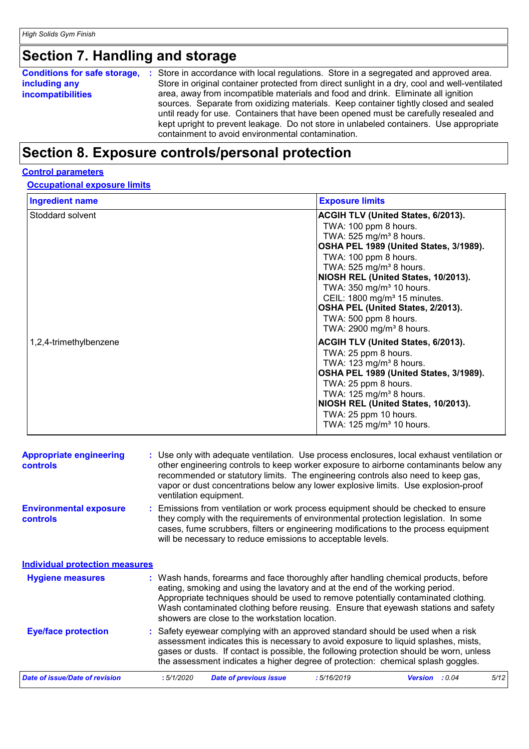# **Section 7. Handling and storage**

| <b>Conditions for safe storage,</b><br>: Store in accordance with local regulations. Store in a segregated and approved area.<br>including any<br><b>incompatibilities</b> |
|----------------------------------------------------------------------------------------------------------------------------------------------------------------------------|
|----------------------------------------------------------------------------------------------------------------------------------------------------------------------------|

# **Section 8. Exposure controls/personal protection**

#### **Control parameters**

#### **Occupational exposure limits**

| <b>Ingredient name</b> | <b>Exposure limits</b>                                                                                                                                                                                                                                                                                                                                                                                                                                 |
|------------------------|--------------------------------------------------------------------------------------------------------------------------------------------------------------------------------------------------------------------------------------------------------------------------------------------------------------------------------------------------------------------------------------------------------------------------------------------------------|
| Stoddard solvent       | <b>ACGIH TLV (United States, 6/2013).</b><br>TWA: 100 ppm 8 hours.<br>TWA: 525 mg/m <sup>3</sup> 8 hours.<br>OSHA PEL 1989 (United States, 3/1989).<br>TWA: 100 ppm 8 hours.<br>TWA: $525$ mg/m <sup>3</sup> 8 hours.<br>NIOSH REL (United States, 10/2013).<br>TWA: 350 mg/m <sup>3</sup> 10 hours.<br>CEIL: 1800 mg/m <sup>3</sup> 15 minutes.<br>OSHA PEL (United States, 2/2013).<br>TWA: 500 ppm 8 hours.<br>TWA: 2900 mg/m <sup>3</sup> 8 hours. |
| 1,2,4-trimethylbenzene | <b>ACGIH TLV (United States, 6/2013).</b><br>TWA: 25 ppm 8 hours.<br>TWA: $123 \text{ mg/m}^3$ 8 hours.<br>OSHA PEL 1989 (United States, 3/1989).<br>TWA: 25 ppm 8 hours.<br>TWA: $125 \text{ mg/m}^3$ 8 hours.<br>NIOSH REL (United States, 10/2013).<br>TWA: 25 ppm 10 hours.<br>TWA: 125 mg/m <sup>3</sup> 10 hours.                                                                                                                                |

| <b>Appropriate engineering</b><br><b>controls</b> | : Use only with adequate ventilation. Use process enclosures, local exhaust ventilation or<br>other engineering controls to keep worker exposure to airborne contaminants below any<br>recommended or statutory limits. The engineering controls also need to keep gas,<br>vapor or dust concentrations below any lower explosive limits. Use explosion-proof<br>ventilation equipment.           |
|---------------------------------------------------|---------------------------------------------------------------------------------------------------------------------------------------------------------------------------------------------------------------------------------------------------------------------------------------------------------------------------------------------------------------------------------------------------|
| <b>Environmental exposure</b><br><b>controls</b>  | Emissions from ventilation or work process equipment should be checked to ensure<br>they comply with the requirements of environmental protection legislation. In some<br>cases, fume scrubbers, filters or engineering modifications to the process equipment<br>will be necessary to reduce emissions to acceptable levels.                                                                     |
| <b>Individual protection measures</b>             |                                                                                                                                                                                                                                                                                                                                                                                                   |
| <b>Hygiene measures</b>                           | : Wash hands, forearms and face thoroughly after handling chemical products, before<br>eating, smoking and using the lavatory and at the end of the working period.<br>Appropriate techniques should be used to remove potentially contaminated clothing.<br>Wash contaminated clothing before reusing. Ensure that eyewash stations and safety<br>showers are close to the workstation location. |
| <b>Eye/face protection</b>                        | Safety eyewear complying with an approved standard should be used when a risk<br>assessment indicates this is necessary to avoid exposure to liquid splashes, mists,<br>gases or dusts. If contact is possible, the following protection should be worn, unless<br>the assessment indicates a higher degree of protection: chemical splash goggles.                                               |
| Date of issue/Date of revision                    | :5/1/2020<br><b>Date of previous issue</b><br>:5/16/2019<br><b>Version</b> : 0.04<br>5/12                                                                                                                                                                                                                                                                                                         |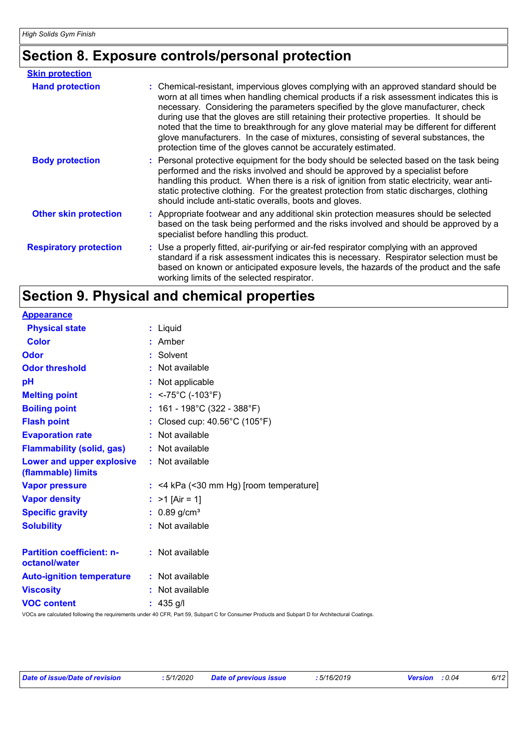# **Section 8. Exposure controls/personal protection**

| <b>Skin protection</b>        |                                                                                                                                                                                                                                                                                                                                                                                                                                                                                                                                                                                                                        |
|-------------------------------|------------------------------------------------------------------------------------------------------------------------------------------------------------------------------------------------------------------------------------------------------------------------------------------------------------------------------------------------------------------------------------------------------------------------------------------------------------------------------------------------------------------------------------------------------------------------------------------------------------------------|
| <b>Hand protection</b>        | : Chemical-resistant, impervious gloves complying with an approved standard should be<br>worn at all times when handling chemical products if a risk assessment indicates this is<br>necessary. Considering the parameters specified by the glove manufacturer, check<br>during use that the gloves are still retaining their protective properties. It should be<br>noted that the time to breakthrough for any glove material may be different for different<br>glove manufacturers. In the case of mixtures, consisting of several substances, the<br>protection time of the gloves cannot be accurately estimated. |
| <b>Body protection</b>        | : Personal protective equipment for the body should be selected based on the task being<br>performed and the risks involved and should be approved by a specialist before<br>handling this product. When there is a risk of ignition from static electricity, wear anti-<br>static protective clothing. For the greatest protection from static discharges, clothing<br>should include anti-static overalls, boots and gloves.                                                                                                                                                                                         |
| <b>Other skin protection</b>  | : Appropriate footwear and any additional skin protection measures should be selected<br>based on the task being performed and the risks involved and should be approved by a<br>specialist before handling this product.                                                                                                                                                                                                                                                                                                                                                                                              |
| <b>Respiratory protection</b> | : Use a properly fitted, air-purifying or air-fed respirator complying with an approved<br>standard if a risk assessment indicates this is necessary. Respirator selection must be<br>based on known or anticipated exposure levels, the hazards of the product and the safe<br>working limits of the selected respirator.                                                                                                                                                                                                                                                                                             |

# **Section 9. Physical and chemical properties**

**Physical state Melting point Vapor pressure Specific gravity Vapor density Solubility** Liquid **:** <-75°C (-103°F) **:** 0.89 g/cm³ **:** >1 [Air = 1] **:** <4 kPa (<30 mm Hg) [room temperature] **: :** Not available **Odor** : Solvent **pH Color** : Amber **Evaporation rate Auto-ignition temperature Flash point :** Not available Closed cup: 40.56°C (105°F) **: :** Not available **:** Not applicable **Viscosity helpidical contracts** and **contracts :** Not available **Odor threshold Partition coefficient: noctanol/water :** Not available **:** Not available **Appearance Boiling point :** 161 - 198°C (322 - 388°F) **Flammability (solid, gas) :** Not available **Lower and upper explosive (flammable) limits :** Not available **VOC content :** 435 g/l

VOCs are calculated following the requirements under 40 CFR, Part 59, Subpart C for Consumer Products and Subpart D for Architectural Coatings.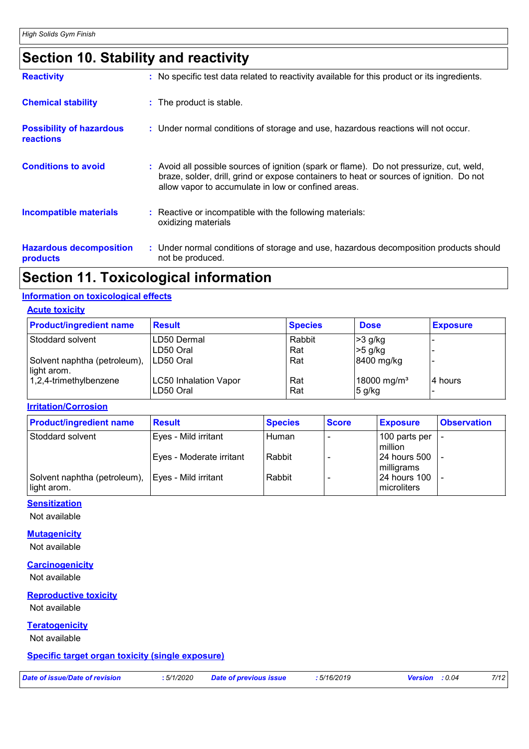# **Section 10. Stability and reactivity**

| <b>Reactivity</b>                                   | : No specific test data related to reactivity available for this product or its ingredients.                                                                                                                                               |
|-----------------------------------------------------|--------------------------------------------------------------------------------------------------------------------------------------------------------------------------------------------------------------------------------------------|
| <b>Chemical stability</b>                           | : The product is stable.                                                                                                                                                                                                                   |
| <b>Possibility of hazardous</b><br><b>reactions</b> | : Under normal conditions of storage and use, hazardous reactions will not occur.                                                                                                                                                          |
| <b>Conditions to avoid</b>                          | : Avoid all possible sources of ignition (spark or flame). Do not pressurize, cut, weld,<br>braze, solder, drill, grind or expose containers to heat or sources of ignition. Do not<br>allow vapor to accumulate in low or confined areas. |
| <b>Incompatible materials</b>                       | : Reactive or incompatible with the following materials:<br>oxidizing materials                                                                                                                                                            |
| <b>Hazardous decomposition</b><br>products          | : Under normal conditions of storage and use, hazardous decomposition products should<br>not be produced.                                                                                                                                  |

# **Section 11. Toxicological information**

#### **Information on toxicological effects**

| <b>Acute toxicity</b> |  |  |
|-----------------------|--|--|
|                       |  |  |

| <b>Product/ingredient name</b>              | <b>Result</b>                      | <b>Species</b> | <b>Dose</b>                         | <b>Exposure</b> |
|---------------------------------------------|------------------------------------|----------------|-------------------------------------|-----------------|
| Stoddard solvent                            | ILD50 Dermal                       | Rabbit         | $>3$ g/kg                           |                 |
|                                             | ILD50 Oral                         | Rat            | $>5$ g/kg                           |                 |
| Solvent naphtha (petroleum),<br>light arom. | LD50 Oral                          | Rat            | 8400 mg/kg                          |                 |
| 1,2,4-trimethylbenzene                      | LC50 Inhalation Vapor<br>LD50 Oral | Rat<br>Rat     | 18000 mg/m <sup>3</sup><br>$5$ g/kg | l4 hours        |

**Irritation/Corrosion**

| <b>Product/ingredient name</b>                                     | <b>Result</b>            | <b>Species</b> | <b>Score</b> | <b>Exposure</b>                 | <b>Observation</b> |
|--------------------------------------------------------------------|--------------------------|----------------|--------------|---------------------------------|--------------------|
| Stoddard solvent                                                   | Eyes - Mild irritant     | Human          |              | 100 parts per<br>million        |                    |
|                                                                    | Eyes - Moderate irritant | Rabbit         |              | 24 hours 500<br>milligrams      |                    |
| Solvent naphtha (petroleum),   Eyes - Mild irritant<br>light arom. |                          | Rabbit         |              | l 24 hours 100<br>l microliters |                    |

#### **Sensitization**

Not available

#### **Mutagenicity**

Not available

#### **Carcinogenicity**

Not available

#### **Reproductive toxicity**

Not available

#### **Teratogenicity**

Not available

#### **Specific target organ toxicity (single exposure)**

*Date of issue/Date of revision* **:** *5/1/2020 Date of previous issue : 5/16/2019 Version : 0.04 7/12*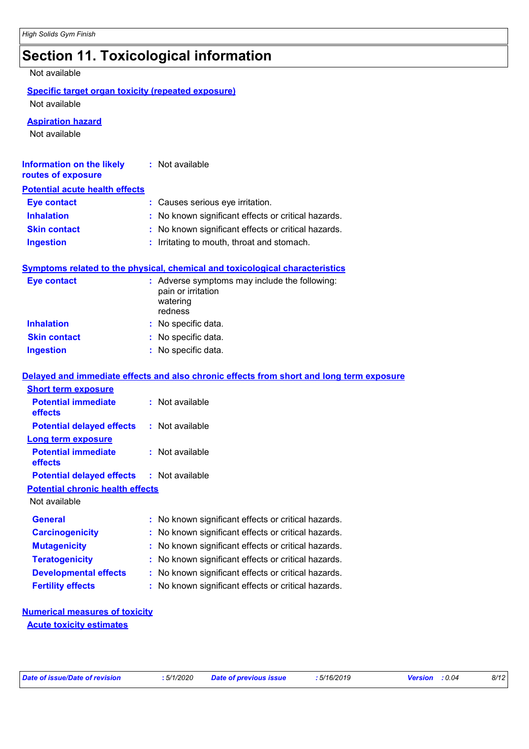# **Section 11. Toxicological information**

Not available

#### **Specific target organ toxicity (repeated exposure)** Not available

**Aspiration hazard**

Not available

| Information on the likely<br>routes of exposure | : Not available                                     |
|-------------------------------------------------|-----------------------------------------------------|
| <b>Potential acute health effects</b>           |                                                     |
| <b>Eye contact</b>                              | : Causes serious eye irritation.                    |
| <b>Inhalation</b>                               | : No known significant effects or critical hazards. |
| <b>Skin contact</b>                             | : No known significant effects or critical hazards. |
| <b>Ingestion</b>                                | : Irritating to mouth, throat and stomach.          |

#### **Symptoms related to the physical, chemical and toxicological characteristics**

| Eye contact         | : Adverse symptoms may include the following:<br>pain or irritation<br>watering<br>redness |
|---------------------|--------------------------------------------------------------------------------------------|
| <b>Inhalation</b>   | : No specific data.                                                                        |
| <b>Skin contact</b> | : No specific data.                                                                        |
| <b>Ingestion</b>    | : No specific data.                                                                        |

#### **Delayed and immediate effects and also chronic effects from short and long term exposure Short term exposure**

| <b>Potential immediate</b>                       | : Not available                                     |
|--------------------------------------------------|-----------------------------------------------------|
| <b>effects</b>                                   |                                                     |
| <b>Potential delayed effects : Not available</b> |                                                     |
| <b>Long term exposure</b>                        |                                                     |
| <b>Potential immediate</b><br>effects            | $:$ Not available                                   |
| <b>Potential delayed effects : Not available</b> |                                                     |
| <b>Potential chronic health effects</b>          |                                                     |
| Not available                                    |                                                     |
| <b>General</b>                                   | : No known significant effects or critical hazards. |
| <b>Carcinogenicity</b>                           | : No known significant effects or critical hazards. |
| <b>Mutagenicity</b>                              | : No known significant effects or critical hazards. |
| <b>Teratogenicity</b>                            | : No known significant effects or critical hazards. |
| <b>Developmental effects</b>                     | : No known significant effects or critical hazards. |
| <b>Fertility effects</b>                         | : No known significant effects or critical hazards. |

#### **Numerical measures of toxicity Acute toxicity estimates**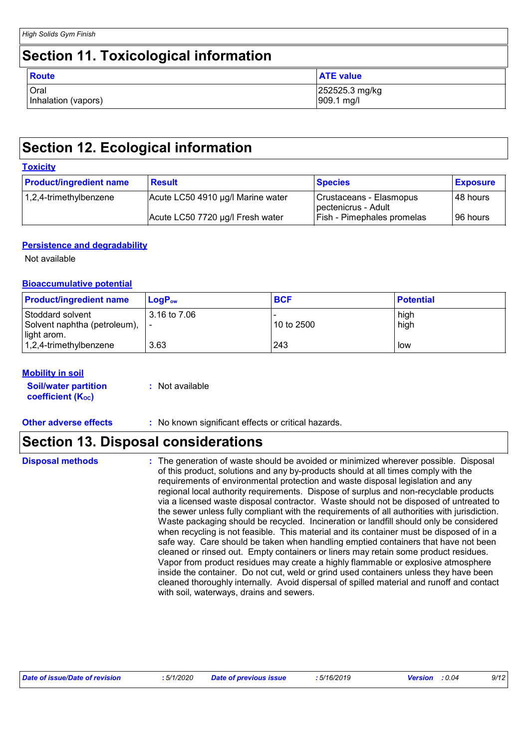### **Section 11. Toxicological information**

| <b>Route</b>        | <b>ATE</b> value |
|---------------------|------------------|
| Oral                | 252525.3 mg/kg   |
| Inhalation (vapors) | 909.1 mg/l       |

# **Section 12. Ecological information**

|--|

| <b>Product/ingredient name</b> | <b>Result</b>                     | <b>Species</b>                                 | <b>Exposure</b> |
|--------------------------------|-----------------------------------|------------------------------------------------|-----------------|
| 1,2,4-trimethylbenzene         | Acute LC50 4910 µg/l Marine water | Crustaceans - Elasmopus<br>pectenicrus - Adult | 148 hours       |
|                                | Acute LC50 7720 µg/l Fresh water  | <b>Fish - Pimephales promelas</b>              | ∣96 hours       |

#### **Persistence and degradability**

Not available

#### **Bioaccumulative potential**

| <b>Product/ingredient name</b>                      | $\mathsf{LogP}_\mathsf{ow}$ | <b>BCF</b> | <b>Potential</b> |
|-----------------------------------------------------|-----------------------------|------------|------------------|
| Stoddard solvent<br>Solvent naphtha (petroleum),  - | 3.16 to 7.06                | 10 to 2500 | high<br>high     |
| light arom.<br>$ 1,2,4$ -trimethylbenzene           | 3.63                        | 243        | low              |

#### **Mobility in soil**

| <b>Soil/water partition</b>    | : Not available |
|--------------------------------|-----------------|
| coefficient (K <sub>oc</sub> ) |                 |

**Other adverse effects** : No known significant effects or critical hazards.

# **Section 13. Disposal considerations**

The generation of waste should be avoided or minimized wherever possible. Disposal of this product, solutions and any by-products should at all times comply with the requirements of environmental protection and waste disposal legislation and any regional local authority requirements. Dispose of surplus and non-recyclable products via a licensed waste disposal contractor. Waste should not be disposed of untreated to the sewer unless fully compliant with the requirements of all authorities with jurisdiction. Waste packaging should be recycled. Incineration or landfill should only be considered when recycling is not feasible. This material and its container must be disposed of in a safe way. Care should be taken when handling emptied containers that have not been cleaned or rinsed out. Empty containers or liners may retain some product residues. Vapor from product residues may create a highly flammable or explosive atmosphere inside the container. Do not cut, weld or grind used containers unless they have been cleaned thoroughly internally. Avoid dispersal of spilled material and runoff and contact with soil, waterways, drains and sewers.

| Date of issue/Date of revision | : 5/1/2020 | <b>Date of previous issue</b> | 5/16/2019 | <b>Version</b> : 0.04 | 9/12 |
|--------------------------------|------------|-------------------------------|-----------|-----------------------|------|

**Disposal methods :**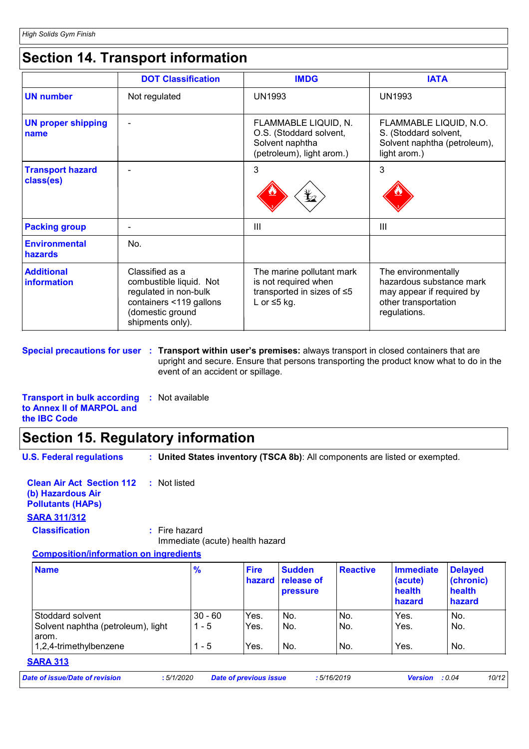# **Section 14. Transport information**

|                                      | <b>DOT Classification</b>                                                                                                              | <b>IMDG</b>                                                                                          | <b>IATA</b>                                                                                                          |
|--------------------------------------|----------------------------------------------------------------------------------------------------------------------------------------|------------------------------------------------------------------------------------------------------|----------------------------------------------------------------------------------------------------------------------|
| <b>UN number</b>                     | Not regulated                                                                                                                          | <b>UN1993</b>                                                                                        | <b>UN1993</b>                                                                                                        |
| <b>UN proper shipping</b><br>name    |                                                                                                                                        | FLAMMABLE LIQUID, N.<br>O.S. (Stoddard solvent,<br>Solvent naphtha<br>(petroleum), light arom.)      | FLAMMABLE LIQUID, N.O.<br>S. (Stoddard solvent,<br>Solvent naphtha (petroleum),<br>light arom.)                      |
| <b>Transport hazard</b><br>class(es) |                                                                                                                                        | 3                                                                                                    | 3                                                                                                                    |
| <b>Packing group</b>                 |                                                                                                                                        | $\mathbf{III}$                                                                                       | Ш                                                                                                                    |
| <b>Environmental</b><br>hazards      | No.                                                                                                                                    |                                                                                                      |                                                                                                                      |
| <b>Additional</b><br>information     | Classified as a<br>combustible liquid. Not<br>regulated in non-bulk<br>containers <119 gallons<br>(domestic ground<br>shipments only). | The marine pollutant mark<br>is not required when<br>transported in sizes of ≤5<br>L or $\leq$ 5 kg. | The environmentally<br>hazardous substance mark<br>may appear if required by<br>other transportation<br>regulations. |

**Special precautions for user Transport within user's premises:** always transport in closed containers that are **:** upright and secure. Ensure that persons transporting the product know what to do in the event of an accident or spillage.

**Transport in bulk according :** Not available **to Annex II of MARPOL and the IBC Code**

### **Section 15. Regulatory information**

**U.S. Federal regulations : United States inventory (TSCA 8b)**: All components are listed or exempted.

**Clean Air Act Section 112 :** Not listed **(b) Hazardous Air Pollutants (HAPs)**

#### **SARA 311/312**

**Classification :** Fire hazard

Immediate (acute) health hazard

**Composition/information on ingredients**

| <b>Name</b>                        | $\frac{9}{6}$ | <b>Fire</b><br>hazard | <b>Sudden</b><br>release of<br><b>pressure</b> | <b>Reactive</b> | Immediate<br>(acute)<br>health<br>hazard | <b>Delayed</b><br>(chronic)<br>health<br>hazard |
|------------------------------------|---------------|-----------------------|------------------------------------------------|-----------------|------------------------------------------|-------------------------------------------------|
| Stoddard solvent                   | $30 - 60$     | Yes.                  | No.                                            | No.             | Yes.                                     | No.                                             |
| Solvent naphtha (petroleum), light | $1 - 5$       | Yes.                  | No.                                            | No.             | Yes.                                     | No.                                             |
| arom.<br>1,2,4-trimethylbenzene    | $1 - 5$       | Yes.                  | No.                                            | No.             | Yes.                                     | No.                                             |

#### **SARA 313**

| Date of issue/Date of revision | : 5/1/2020 | Date of previous issue | 5/16/2019 | <b>Version</b> : 0.04 | 10/12 |
|--------------------------------|------------|------------------------|-----------|-----------------------|-------|
|--------------------------------|------------|------------------------|-----------|-----------------------|-------|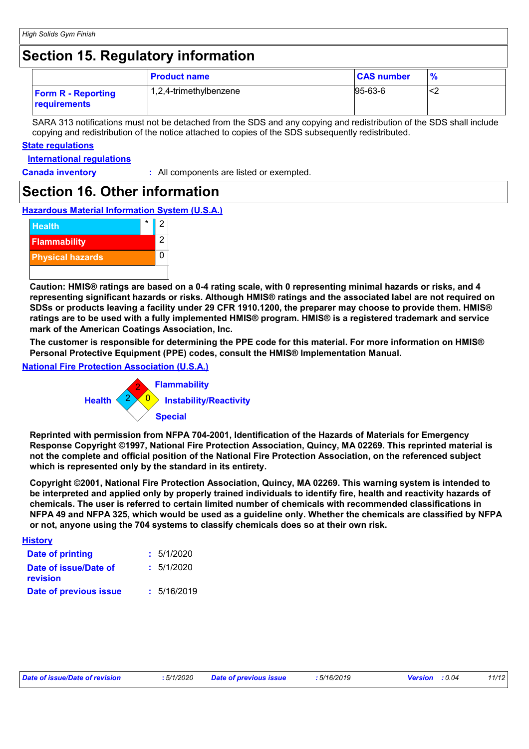# **Section 15. Regulatory information**

|                                                  | <b>Product name</b>    | <b>CAS number</b> | $\frac{9}{6}$ |
|--------------------------------------------------|------------------------|-------------------|---------------|
| <b>Form R - Reporting</b><br><b>requirements</b> | 1,2,4-trimethylbenzene | $ 95-63-6 $       | ∼∠            |

SARA 313 notifications must not be detached from the SDS and any copying and redistribution of the SDS shall include copying and redistribution of the notice attached to copies of the SDS subsequently redistributed.

#### **State regulations**

**International regulations**

**Canada inventory :** All components are listed or exempted.

### **Section 16. Other information**

**Hazardous Material Information System (U.S.A.)**



**Caution: HMIS® ratings are based on a 0-4 rating scale, with 0 representing minimal hazards or risks, and 4 representing significant hazards or risks. Although HMIS® ratings and the associated label are not required on SDSs or products leaving a facility under 29 CFR 1910.1200, the preparer may choose to provide them. HMIS® ratings are to be used with a fully implemented HMIS® program. HMIS® is a registered trademark and service mark of the American Coatings Association, Inc.**

**The customer is responsible for determining the PPE code for this material. For more information on HMIS® Personal Protective Equipment (PPE) codes, consult the HMIS® Implementation Manual.**

#### **National Fire Protection Association (U.S.A.)**



**Reprinted with permission from NFPA 704-2001, Identification of the Hazards of Materials for Emergency Response Copyright ©1997, National Fire Protection Association, Quincy, MA 02269. This reprinted material is not the complete and official position of the National Fire Protection Association, on the referenced subject which is represented only by the standard in its entirety.**

**Copyright ©2001, National Fire Protection Association, Quincy, MA 02269. This warning system is intended to be interpreted and applied only by properly trained individuals to identify fire, health and reactivity hazards of chemicals. The user is referred to certain limited number of chemicals with recommended classifications in NFPA 49 and NFPA 325, which would be used as a guideline only. Whether the chemicals are classified by NFPA or not, anyone using the 704 systems to classify chemicals does so at their own risk.**

| <b>History</b>                    |             |
|-----------------------------------|-------------|
| <b>Date of printing</b>           | : 5/1/2020  |
| Date of issue/Date of<br>revision | : 5/1/2020  |
| Date of previous issue            | : 5/16/2019 |